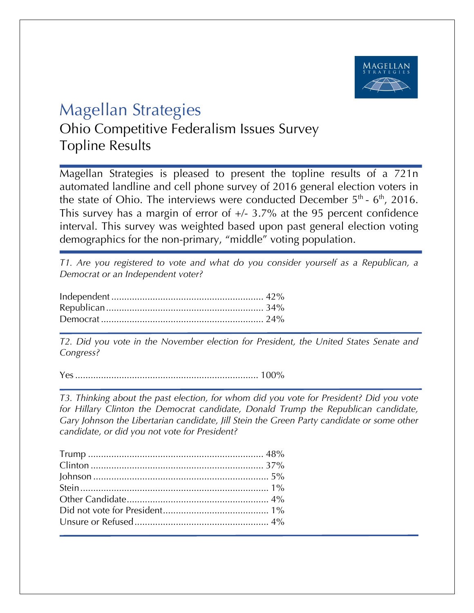

## Magellan Strategies

Ohio Competitive Federalism Issues Survey Topline Results

Magellan Strategies is pleased to present the topline results of a 721n automated landline and cell phone survey of 2016 general election voters in the state of Ohio. The interviews were conducted December  $5<sup>th</sup>$  -  $6<sup>th</sup>$ , 2016. This survey has a margin of error of  $+/- 3.7\%$  at the 95 percent confidence interval. This survey was weighted based upon past general election voting demographics for the non-primary, "middle" voting population.

*T1. Are you registered to vote and what do you consider yourself as a Republican, a Democrat or an Independent voter?*

*T2. Did you vote in the November election for President, the United States Senate and Congress?* 

Yes....................................................................... 100%

*T3. Thinking about the past election, for whom did you vote for President? Did you vote for Hillary Clinton the Democrat candidate, Donald Trump the Republican candidate, Gary Johnson the Libertarian candidate, Jill Stein the Green Party candidate or some other candidate, or did you not vote for President?*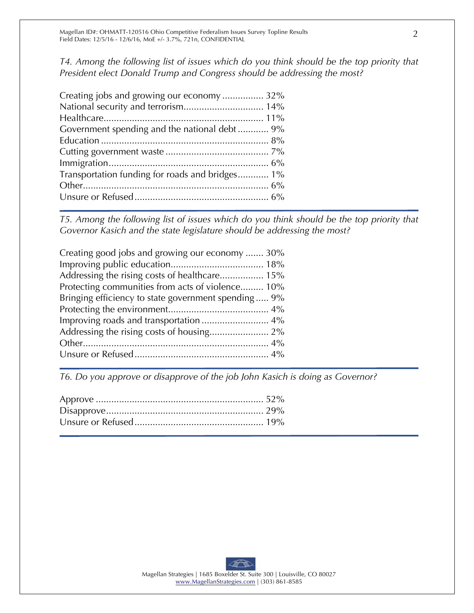*T4. Among the following list of issues which do you think should be the top priority that President elect Donald Trump and Congress should be addressing the most?*

| Creating jobs and growing our economy  32%      |  |
|-------------------------------------------------|--|
|                                                 |  |
|                                                 |  |
| Government spending and the national debt 9%    |  |
|                                                 |  |
|                                                 |  |
|                                                 |  |
| Transportation funding for roads and bridges 1% |  |
|                                                 |  |
|                                                 |  |
|                                                 |  |

*T5. Among the following list of issues which do you think should be the top priority that Governor Kasich and the state legislature should be addressing the most?* 

| Creating good jobs and growing our economy  30%     |
|-----------------------------------------------------|
|                                                     |
| Addressing the rising costs of healthcare 15%       |
| Protecting communities from acts of violence 10%    |
| Bringing efficiency to state government spending 9% |
|                                                     |
|                                                     |
|                                                     |
|                                                     |
|                                                     |
|                                                     |

*T6. Do you approve or disapprove of the job John Kasich is doing as Governor?*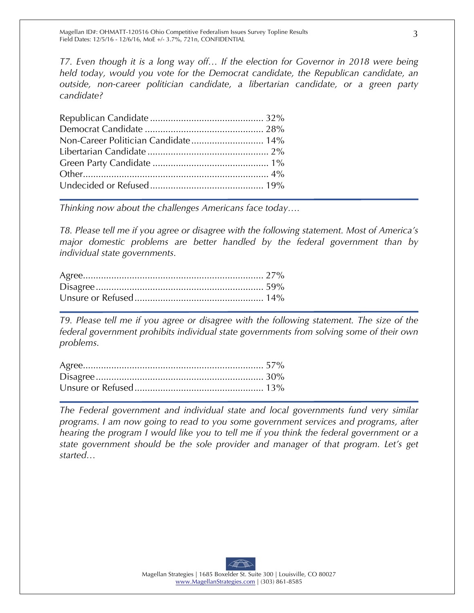*T7. Even though it is a long way off… If the election for Governor in 2018 were being held today, would you vote for the Democrat candidate, the Republican candidate, an outside, non-career politician candidate, a libertarian candidate, or a green party candidate?*

*Thinking now about the challenges Americans face today….*

*T8. Please tell me if you agree or disagree with the following statement. Most of America's major domestic problems are better handled by the federal government than by individual state governments.*

*T9. Please tell me if you agree or disagree with the following statement. The size of the federal government prohibits individual state governments from solving some of their own problems.*

*The Federal government and individual state and local governments fund very similar programs. I am now going to read to you some government services and programs, after hearing the program I would like you to tell me if you think the federal government or a state government should be the sole provider and manager of that program. Let's get started…*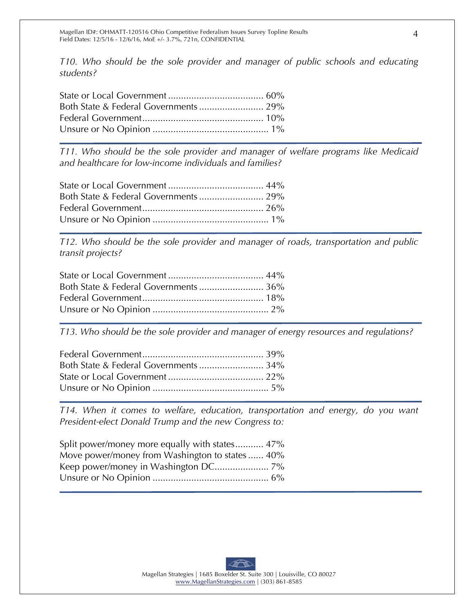*T10. Who should be the sole provider and manager of public schools and educating students?*

*T11. Who should be the sole provider and manager of welfare programs like Medicaid and healthcare for low-income individuals and families?*

*T12. Who should be the sole provider and manager of roads, transportation and public transit projects?*

*T13. Who should be the sole provider and manager of energy resources and regulations?*

*T14. When it comes to welfare, education, transportation and energy, do you want President-elect Donald Trump and the new Congress to:*

| Split power/money more equally with states 47% |  |
|------------------------------------------------|--|
| Move power/money from Washington to states 40% |  |
|                                                |  |
|                                                |  |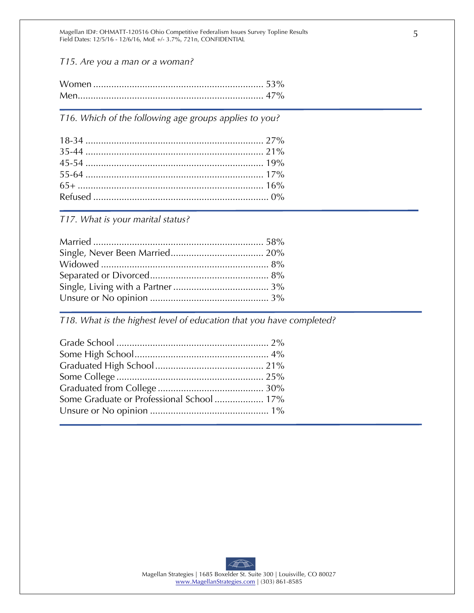Magellan ID#: OHMATT-120516 Ohio Competitive Federalism Issues Survey Topline Results Field Dates: 12/5/16 - 12/6/16, MoE +/- 3.7%, 721n, CONFIDENTIAL

*T15. Are you a man or a woman?*

*T16. Which of the following age groups applies to you?* 

*T17. What is your marital status?* 

*T18. What is the highest level of education that you have completed?*

| Some Graduate or Professional School 17% |  |
|------------------------------------------|--|
|                                          |  |
|                                          |  |